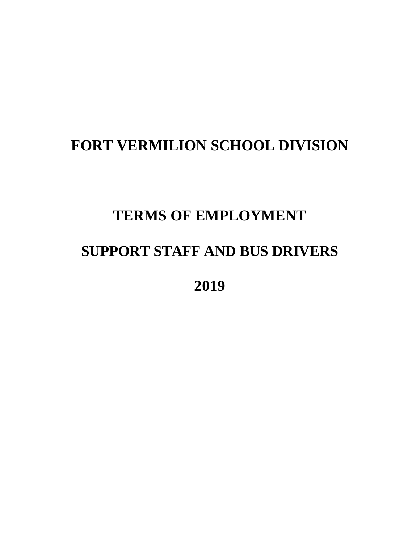# **FORT VERMILION SCHOOL DIVISION**

# **TERMS OF EMPLOYMENT**

# **SUPPORT STAFF AND BUS DRIVERS**

**2019**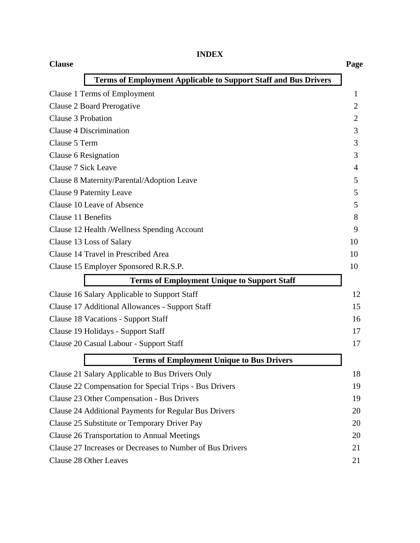| ٠<br>H<br>i.<br>۷ |
|-------------------|
|-------------------|

| <b>Clause</b>                                                   | Page |
|-----------------------------------------------------------------|------|
| Terms of Employment Applicable to Support Staff and Bus Drivers |      |
| <b>Clause 1 Terms of Employment</b>                             | 1    |
| Clause 2 Board Prerogative                                      | 2    |
| Clause 3 Probation                                              | 2    |
| Clause 4 Discrimination                                         | 3    |
| Clause 5 Term                                                   | 3    |
| Clause 6 Resignation                                            | 3    |
| Clause 7 Sick Leave                                             | 4    |
| Clause 8 Maternity/Parental/Adoption Leave                      | 5    |
| Clause 9 Paternity Leave                                        | 5    |
| Clause 10 Leave of Absence                                      | 5    |
| Clause 11 Benefits                                              | 8    |
| Clause 12 Health / Wellness Spending Account                    | 9    |
| Clause 13 Loss of Salary                                        | 10   |
| Clause 14 Travel in Prescribed Area                             | 10   |
| Clause 15 Employer Sponsored R.R.S.P.                           | 10   |
| <b>Terms of Employment Unique to Support Staff</b>              |      |
| Clause 16 Salary Applicable to Support Staff                    | 12   |
| <b>Clause 17 Additional Allowances - Support Staff</b>          | 15   |
| <b>Clause 18 Vacations - Support Staff</b>                      | 16   |
| Clause 19 Holidays - Support Staff                              | 17   |
| Clause 20 Casual Labour - Support Staff                         | 17   |
| <b>Terms of Employment Unique to Bus Drivers</b>                |      |
| Clause 21 Salary Applicable to Bus Drivers Only                 | 18   |
| Clause 22 Compensation for Special Trips - Bus Drivers          | 19   |
| Clause 23 Other Compensation - Bus Drivers                      | 19   |
| Clause 24 Additional Payments for Regular Bus Drivers           | 20   |
| Clause 25 Substitute or Temporary Driver Pay                    | 20   |
| <b>Clause 26 Transportation to Annual Meetings</b>              | 20   |
| Clause 27 Increases or Decreases to Number of Bus Drivers       | 21   |
| Clause 28 Other Leaves                                          | 21   |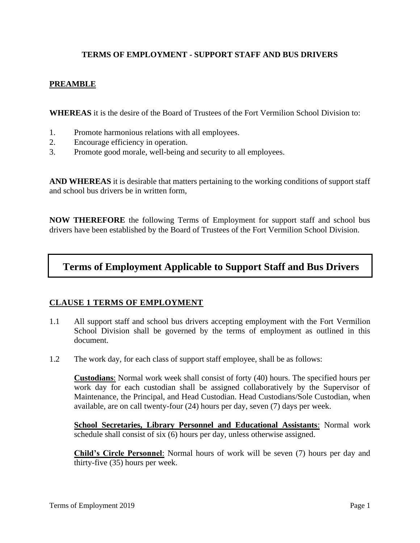## **TERMS OF EMPLOYMENT - SUPPORT STAFF AND BUS DRIVERS**

#### **PREAMBLE**

**WHEREAS** it is the desire of the Board of Trustees of the Fort Vermilion School Division to:

- 1. Promote harmonious relations with all employees.
- 2. Encourage efficiency in operation.
- 3. Promote good morale, well-being and security to all employees.

**AND WHEREAS** it is desirable that matters pertaining to the working conditions of support staff and school bus drivers be in written form,

**NOW THEREFORE** the following Terms of Employment for support staff and school bus drivers have been established by the Board of Trustees of the Fort Vermilion School Division.

# **Terms of Employment Applicable to Support Staff and Bus Drivers**

#### **CLAUSE 1 TERMS OF EMPLOYMENT**

- 1.1 All support staff and school bus drivers accepting employment with the Fort Vermilion School Division shall be governed by the terms of employment as outlined in this document.
- 1.2 The work day, for each class of support staff employee, shall be as follows:

**Custodians**: Normal work week shall consist of forty (40) hours. The specified hours per work day for each custodian shall be assigned collaboratively by the Supervisor of Maintenance, the Principal, and Head Custodian. Head Custodians/Sole Custodian, when available, are on call twenty-four (24) hours per day, seven (7) days per week.

**School Secretaries, Library Personnel and Educational Assistants**: Normal work schedule shall consist of six (6) hours per day, unless otherwise assigned.

**Child's Circle Personnel**: Normal hours of work will be seven (7) hours per day and thirty-five (35) hours per week.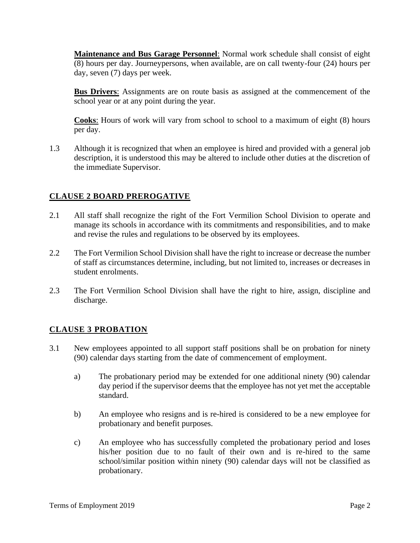**Maintenance and Bus Garage Personnel**: Normal work schedule shall consist of eight (8) hours per day. Journeypersons, when available, are on call twenty-four (24) hours per day, seven (7) days per week.

**Bus Drivers**: Assignments are on route basis as assigned at the commencement of the school year or at any point during the year.

**Cooks**: Hours of work will vary from school to school to a maximum of eight (8) hours per day.

1.3 Although it is recognized that when an employee is hired and provided with a general job description, it is understood this may be altered to include other duties at the discretion of the immediate Supervisor.

# **CLAUSE 2 BOARD PREROGATIVE**

- 2.1 All staff shall recognize the right of the Fort Vermilion School Division to operate and manage its schools in accordance with its commitments and responsibilities, and to make and revise the rules and regulations to be observed by its employees.
- 2.2 The Fort Vermilion School Division shall have the right to increase or decrease the number of staff as circumstances determine, including, but not limited to, increases or decreases in student enrolments.
- 2.3 The Fort Vermilion School Division shall have the right to hire, assign, discipline and discharge.

## **CLAUSE 3 PROBATION**

- 3.1 New employees appointed to all support staff positions shall be on probation for ninety (90) calendar days starting from the date of commencement of employment.
	- a) The probationary period may be extended for one additional ninety (90) calendar day period if the supervisor deems that the employee has not yet met the acceptable standard.
	- b) An employee who resigns and is re-hired is considered to be a new employee for probationary and benefit purposes.
	- c) An employee who has successfully completed the probationary period and loses his/her position due to no fault of their own and is re-hired to the same school/similar position within ninety (90) calendar days will not be classified as probationary.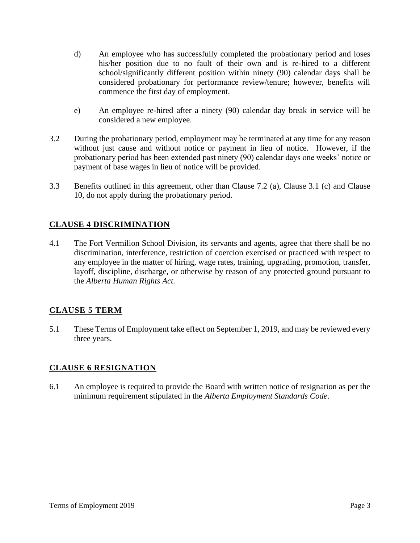- d) An employee who has successfully completed the probationary period and loses his/her position due to no fault of their own and is re-hired to a different school/significantly different position within ninety (90) calendar days shall be considered probationary for performance review/tenure; however, benefits will commence the first day of employment.
- e) An employee re-hired after a ninety (90) calendar day break in service will be considered a new employee.
- 3.2 During the probationary period, employment may be terminated at any time for any reason without just cause and without notice or payment in lieu of notice. However, if the probationary period has been extended past ninety (90) calendar days one weeks' notice or payment of base wages in lieu of notice will be provided.
- 3.3 Benefits outlined in this agreement, other than Clause 7.2 (a), Clause 3.1 (c) and Clause 10, do not apply during the probationary period.

# **CLAUSE 4 DISCRIMINATION**

4.1 The Fort Vermilion School Division, its servants and agents, agree that there shall be no discrimination, interference, restriction of coercion exercised or practiced with respect to any employee in the matter of hiring, wage rates, training, upgrading, promotion, transfer, layoff, discipline, discharge, or otherwise by reason of any protected ground pursuant to the *Alberta Human Rights Act.*

## **CLAUSE 5 TERM**

5.1 These Terms of Employment take effect on September 1, 2019, and may be reviewed every three years.

## **CLAUSE 6 RESIGNATION**

6.1 An employee is required to provide the Board with written notice of resignation as per the minimum requirement stipulated in the *Alberta Employment Standards Code*.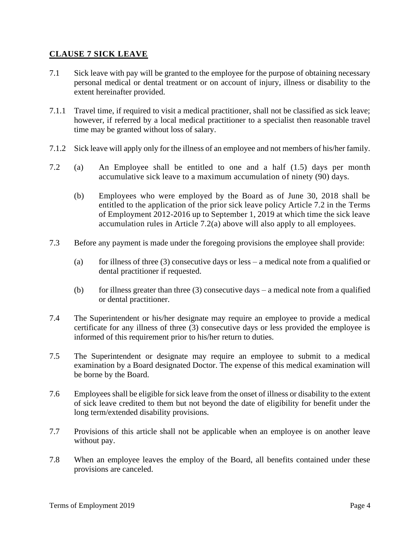#### **CLAUSE 7 SICK LEAVE**

- 7.1 Sick leave with pay will be granted to the employee for the purpose of obtaining necessary personal medical or dental treatment or on account of injury, illness or disability to the extent hereinafter provided.
- 7.1.1 Travel time, if required to visit a medical practitioner, shall not be classified as sick leave; however, if referred by a local medical practitioner to a specialist then reasonable travel time may be granted without loss of salary.
- 7.1.2 Sick leave will apply only for the illness of an employee and not members of his/her family.
- 7.2 (a) An Employee shall be entitled to one and a half (1.5) days per month accumulative sick leave to a maximum accumulation of ninety (90) days.
	- (b) Employees who were employed by the Board as of June 30, 2018 shall be entitled to the application of the prior sick leave policy Article 7.2 in the Terms of Employment 2012-2016 up to September 1, 2019 at which time the sick leave accumulation rules in Article 7.2(a) above will also apply to all employees.
- 7.3 Before any payment is made under the foregoing provisions the employee shall provide:
	- (a) for illness of three (3) consecutive days or less a medical note from a qualified or dental practitioner if requested.
	- (b) for illness greater than three  $(3)$  consecutive days a medical note from a qualified or dental practitioner.
- 7.4 The Superintendent or his/her designate may require an employee to provide a medical certificate for any illness of three (3) consecutive days or less provided the employee is informed of this requirement prior to his/her return to duties.
- 7.5 The Superintendent or designate may require an employee to submit to a medical examination by a Board designated Doctor. The expense of this medical examination will be borne by the Board.
- 7.6 Employees shall be eligible for sick leave from the onset of illness or disability to the extent of sick leave credited to them but not beyond the date of eligibility for benefit under the long term/extended disability provisions.
- 7.7 Provisions of this article shall not be applicable when an employee is on another leave without pay.
- 7.8 When an employee leaves the employ of the Board, all benefits contained under these provisions are canceled.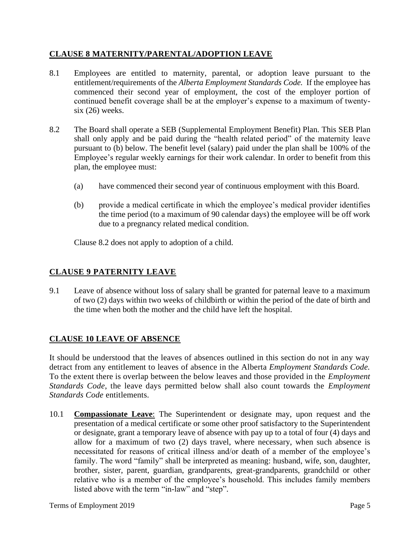## **CLAUSE 8 MATERNITY/PARENTAL/ADOPTION LEAVE**

- 8.1 Employees are entitled to maternity, parental, or adoption leave pursuant to the entitlement/requirements of the *Alberta Employment Standards Code.* If the employee has commenced their second year of employment, the cost of the employer portion of continued benefit coverage shall be at the employer's expense to a maximum of twentysix (26) weeks.
- 8.2 The Board shall operate a SEB (Supplemental Employment Benefit) Plan. This SEB Plan shall only apply and be paid during the "health related period" of the maternity leave pursuant to (b) below. The benefit level (salary) paid under the plan shall be 100% of the Employee's regular weekly earnings for their work calendar. In order to benefit from this plan, the employee must:
	- (a) have commenced their second year of continuous employment with this Board.
	- (b) provide a medical certificate in which the employee's medical provider identifies the time period (to a maximum of 90 calendar days) the employee will be off work due to a pregnancy related medical condition.

Clause 8.2 does not apply to adoption of a child.

## **CLAUSE 9 PATERNITY LEAVE**

9.1 Leave of absence without loss of salary shall be granted for paternal leave to a maximum of two (2) days within two weeks of childbirth or within the period of the date of birth and the time when both the mother and the child have left the hospital.

## **CLAUSE 10 LEAVE OF ABSENCE**

It should be understood that the leaves of absences outlined in this section do not in any way detract from any entitlement to leaves of absence in the Alberta *Employment Standards Code.*  To the extent there is overlap between the below leaves and those provided in the *Employment Standards Code*, the leave days permitted below shall also count towards the *Employment Standards Code* entitlements.

10.1 **Compassionate Leave**: The Superintendent or designate may, upon request and the presentation of a medical certificate or some other proof satisfactory to the Superintendent or designate, grant a temporary leave of absence with pay up to a total of four (4) days and allow for a maximum of two (2) days travel, where necessary, when such absence is necessitated for reasons of critical illness and/or death of a member of the employee's family. The word "family" shall be interpreted as meaning: husband, wife, son, daughter, brother, sister, parent, guardian, grandparents, great-grandparents, grandchild or other relative who is a member of the employee's household. This includes family members listed above with the term "in-law" and "step".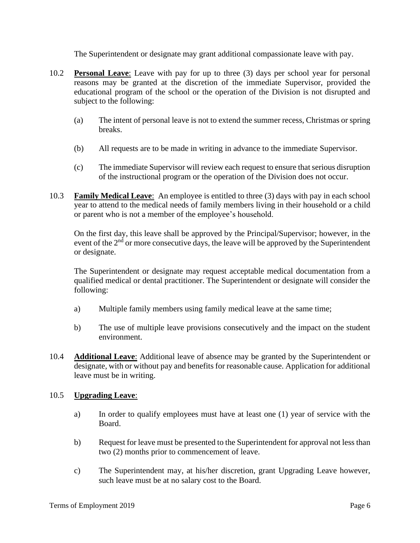The Superintendent or designate may grant additional compassionate leave with pay.

- 10.2 **Personal Leave**: Leave with pay for up to three (3) days per school year for personal reasons may be granted at the discretion of the immediate Supervisor, provided the educational program of the school or the operation of the Division is not disrupted and subject to the following:
	- (a) The intent of personal leave is not to extend the summer recess, Christmas or spring breaks.
	- (b) All requests are to be made in writing in advance to the immediate Supervisor.
	- (c) The immediate Supervisor will review each request to ensure that serious disruption of the instructional program or the operation of the Division does not occur.
- 10.3 **Family Medical Leave**: An employee is entitled to three (3) days with pay in each school year to attend to the medical needs of family members living in their household or a child or parent who is not a member of the employee's household.

On the first day, this leave shall be approved by the Principal/Supervisor; however, in the event of the  $2<sup>nd</sup>$  or more consecutive days, the leave will be approved by the Superintendent or designate.

The Superintendent or designate may request acceptable medical documentation from a qualified medical or dental practitioner. The Superintendent or designate will consider the following:

- a) Multiple family members using family medical leave at the same time;
- b) The use of multiple leave provisions consecutively and the impact on the student environment.
- 10.4 **Additional Leave**: Additional leave of absence may be granted by the Superintendent or designate, with or without pay and benefits for reasonable cause. Application for additional leave must be in writing.

## 10.5 **Upgrading Leave**:

- a) In order to qualify employees must have at least one (1) year of service with the Board.
- b) Request for leave must be presented to the Superintendent for approval not less than two (2) months prior to commencement of leave.
- c) The Superintendent may, at his/her discretion, grant Upgrading Leave however, such leave must be at no salary cost to the Board.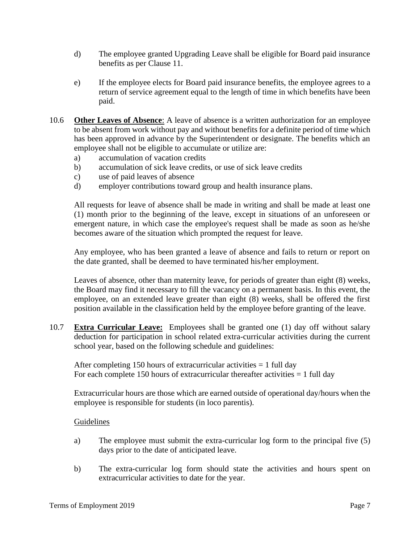- d) The employee granted Upgrading Leave shall be eligible for Board paid insurance benefits as per Clause 11.
- e) If the employee elects for Board paid insurance benefits, the employee agrees to a return of service agreement equal to the length of time in which benefits have been paid.
- 10.6 **Other Leaves of Absence**: A leave of absence is a written authorization for an employee to be absent from work without pay and without benefits for a definite period of time which has been approved in advance by the Superintendent or designate. The benefits which an employee shall not be eligible to accumulate or utilize are:
	- a) accumulation of vacation credits
	- b) accumulation of sick leave credits, or use of sick leave credits
	- c) use of paid leaves of absence
	- d) employer contributions toward group and health insurance plans.

All requests for leave of absence shall be made in writing and shall be made at least one (1) month prior to the beginning of the leave, except in situations of an unforeseen or emergent nature, in which case the employee's request shall be made as soon as he/she becomes aware of the situation which prompted the request for leave.

Any employee, who has been granted a leave of absence and fails to return or report on the date granted, shall be deemed to have terminated his/her employment.

Leaves of absence, other than maternity leave, for periods of greater than eight (8) weeks, the Board may find it necessary to fill the vacancy on a permanent basis. In this event, the employee, on an extended leave greater than eight (8) weeks, shall be offered the first position available in the classification held by the employee before granting of the leave.

10.7 **Extra Curricular Leave:** Employees shall be granted one (1) day off without salary deduction for participation in school related extra-curricular activities during the current school year, based on the following schedule and guidelines:

After completing 150 hours of extracurricular activities  $= 1$  full day For each complete 150 hours of extracurricular thereafter activities = 1 full day

Extracurricular hours are those which are earned outside of operational day/hours when the employee is responsible for students (in loco parentis).

#### Guidelines

- a) The employee must submit the extra-curricular log form to the principal five (5) days prior to the date of anticipated leave.
- b) The extra-curricular log form should state the activities and hours spent on extracurricular activities to date for the year.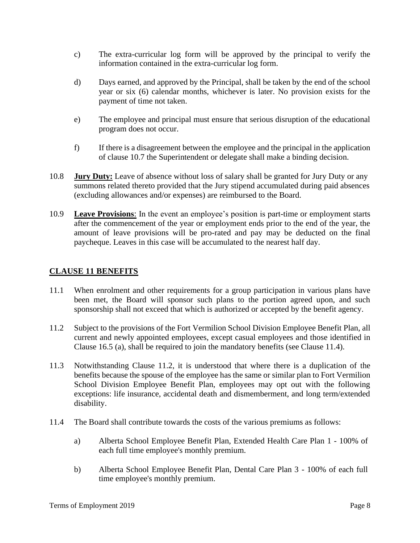- c) The extra-curricular log form will be approved by the principal to verify the information contained in the extra-curricular log form.
- d) Days earned, and approved by the Principal, shall be taken by the end of the school year or six (6) calendar months, whichever is later. No provision exists for the payment of time not taken.
- e) The employee and principal must ensure that serious disruption of the educational program does not occur.
- f) If there is a disagreement between the employee and the principal in the application of clause 10.7 the Superintendent or delegate shall make a binding decision.
- 10.8 **Jury Duty:** Leave of absence without loss of salary shall be granted for Jury Duty or any summons related thereto provided that the Jury stipend accumulated during paid absences (excluding allowances and/or expenses) are reimbursed to the Board.
- 10.9 **Leave Provisions**: In the event an employee's position is part-time or employment starts after the commencement of the year or employment ends prior to the end of the year, the amount of leave provisions will be pro-rated and pay may be deducted on the final paycheque. Leaves in this case will be accumulated to the nearest half day.

# **CLAUSE 11 BENEFITS**

- 11.1 When enrolment and other requirements for a group participation in various plans have been met, the Board will sponsor such plans to the portion agreed upon, and such sponsorship shall not exceed that which is authorized or accepted by the benefit agency.
- 11.2 Subject to the provisions of the Fort Vermilion School Division Employee Benefit Plan, all current and newly appointed employees, except casual employees and those identified in Clause 16.5 (a), shall be required to join the mandatory benefits (see Clause 11.4).
- 11.3 Notwithstanding Clause 11.2, it is understood that where there is a duplication of the benefits because the spouse of the employee has the same or similar plan to Fort Vermilion School Division Employee Benefit Plan, employees may opt out with the following exceptions: life insurance, accidental death and dismemberment, and long term/extended disability.
- 11.4 The Board shall contribute towards the costs of the various premiums as follows:
	- a) Alberta School Employee Benefit Plan, Extended Health Care Plan 1 100% of each full time employee's monthly premium.
	- b) Alberta School Employee Benefit Plan, Dental Care Plan 3 100% of each full time employee's monthly premium.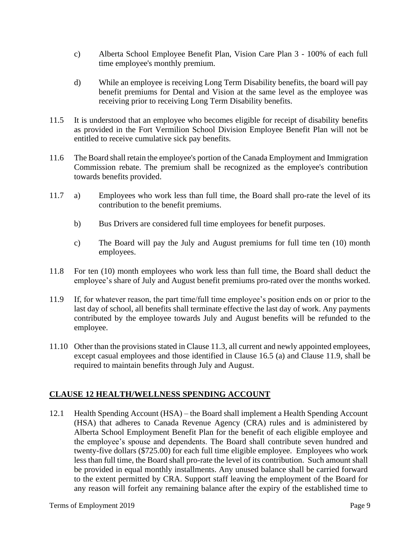- c) Alberta School Employee Benefit Plan, Vision Care Plan 3 100% of each full time employee's monthly premium.
- d) While an employee is receiving Long Term Disability benefits, the board will pay benefit premiums for Dental and Vision at the same level as the employee was receiving prior to receiving Long Term Disability benefits.
- 11.5 It is understood that an employee who becomes eligible for receipt of disability benefits as provided in the Fort Vermilion School Division Employee Benefit Plan will not be entitled to receive cumulative sick pay benefits.
- 11.6 The Board shall retain the employee's portion of the Canada Employment and Immigration Commission rebate. The premium shall be recognized as the employee's contribution towards benefits provided.
- 11.7 a) Employees who work less than full time, the Board shall pro-rate the level of its contribution to the benefit premiums.
	- b) Bus Drivers are considered full time employees for benefit purposes.
	- c) The Board will pay the July and August premiums for full time ten (10) month employees.
- 11.8 For ten (10) month employees who work less than full time, the Board shall deduct the employee's share of July and August benefit premiums pro-rated over the months worked.
- 11.9 If, for whatever reason, the part time/full time employee's position ends on or prior to the last day of school, all benefits shall terminate effective the last day of work. Any payments contributed by the employee towards July and August benefits will be refunded to the employee.
- 11.10 Other than the provisions stated in Clause 11.3, all current and newly appointed employees, except casual employees and those identified in Clause 16.5 (a) and Clause 11.9, shall be required to maintain benefits through July and August.

# **CLAUSE 12 HEALTH/WELLNESS SPENDING ACCOUNT**

12.1 Health Spending Account (HSA) – the Board shall implement a Health Spending Account (HSA) that adheres to Canada Revenue Agency (CRA) rules and is administered by Alberta School Employment Benefit Plan for the benefit of each eligible employee and the employee's spouse and dependents. The Board shall contribute seven hundred and twenty-five dollars (\$725.00) for each full time eligible employee. Employees who work less than full time, the Board shall pro-rate the level of its contribution. Such amount shall be provided in equal monthly installments. Any unused balance shall be carried forward to the extent permitted by CRA. Support staff leaving the employment of the Board for any reason will forfeit any remaining balance after the expiry of the established time to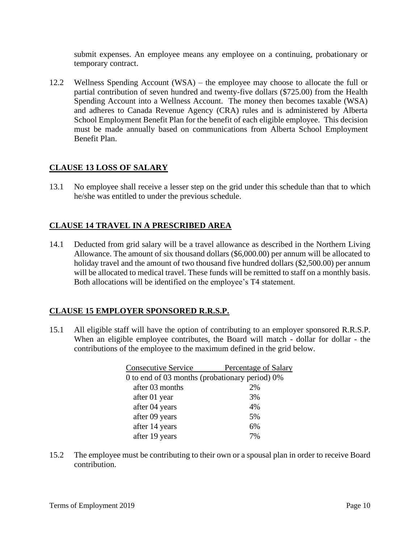submit expenses. An employee means any employee on a continuing, probationary or temporary contract.

12.2 Wellness Spending Account (WSA) – the employee may choose to allocate the full or partial contribution of seven hundred and twenty-five dollars (\$725.00) from the Health Spending Account into a Wellness Account. The money then becomes taxable (WSA) and adheres to Canada Revenue Agency (CRA) rules and is administered by Alberta School Employment Benefit Plan for the benefit of each eligible employee. This decision must be made annually based on communications from Alberta School Employment Benefit Plan.

## **CLAUSE 13 LOSS OF SALARY**

13.1 No employee shall receive a lesser step on the grid under this schedule than that to which he/she was entitled to under the previous schedule.

#### **CLAUSE 14 TRAVEL IN A PRESCRIBED AREA**

14.1 Deducted from grid salary will be a travel allowance as described in the Northern Living Allowance. The amount of six thousand dollars (\$6,000.00) per annum will be allocated to holiday travel and the amount of two thousand five hundred dollars (\$2,500.00) per annum will be allocated to medical travel. These funds will be remitted to staff on a monthly basis. Both allocations will be identified on the employee's T4 statement.

## **CLAUSE 15 EMPLOYER SPONSORED R.R.S.P.**

15.1 All eligible staff will have the option of contributing to an employer sponsored R.R.S.P. When an eligible employee contributes, the Board will match - dollar for dollar - the contributions of the employee to the maximum defined in the grid below.

| <b>Consecutive Service</b>                     | Percentage of Salary |
|------------------------------------------------|----------------------|
| 0 to end of 03 months (probationary period) 0% |                      |
| after 03 months                                | 2%                   |
| after 01 year                                  | 3%                   |
| after 04 years                                 | 4%                   |
| after 09 years                                 | 5%                   |
| after 14 years                                 | 6%                   |
| after 19 years                                 | 7%                   |

15.2 The employee must be contributing to their own or a spousal plan in order to receive Board contribution.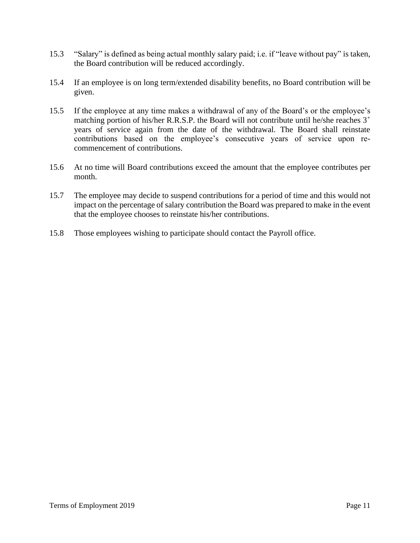- 15.3 "Salary" is defined as being actual monthly salary paid; i.e. if "leave without pay" is taken, the Board contribution will be reduced accordingly.
- 15.4 If an employee is on long term/extended disability benefits, no Board contribution will be given.
- 15.5 If the employee at any time makes a withdrawal of any of the Board's or the employee's matching portion of his/her R.R.S.P. the Board will not contribute until he/she reaches  $3^+$ years of service again from the date of the withdrawal. The Board shall reinstate contributions based on the employee's consecutive years of service upon recommencement of contributions.
- 15.6 At no time will Board contributions exceed the amount that the employee contributes per month.
- 15.7 The employee may decide to suspend contributions for a period of time and this would not impact on the percentage of salary contribution the Board was prepared to make in the event that the employee chooses to reinstate his/her contributions.
- 15.8 Those employees wishing to participate should contact the Payroll office.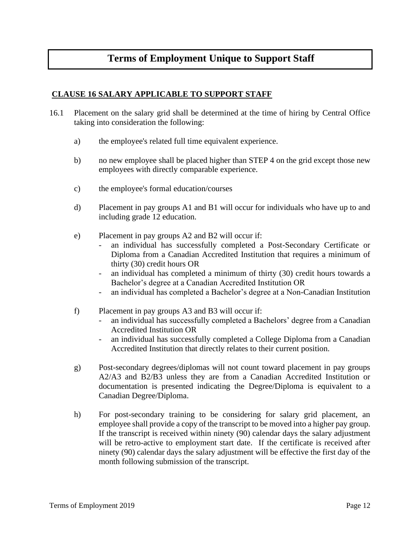# **Terms of Employment Unique to Support Staff**

#### **CLAUSE 16 SALARY APPLICABLE TO SUPPORT STAFF**

- 16.1 Placement on the salary grid shall be determined at the time of hiring by Central Office taking into consideration the following:
	- a) the employee's related full time equivalent experience.
	- b) no new employee shall be placed higher than STEP 4 on the grid except those new employees with directly comparable experience.
	- c) the employee's formal education/courses
	- d) Placement in pay groups A1 and B1 will occur for individuals who have up to and including grade 12 education.
	- e) Placement in pay groups A2 and B2 will occur if:
		- an individual has successfully completed a Post-Secondary Certificate or Diploma from a Canadian Accredited Institution that requires a minimum of thirty (30) credit hours OR
		- an individual has completed a minimum of thirty (30) credit hours towards a Bachelor's degree at a Canadian Accredited Institution OR
		- an individual has completed a Bachelor's degree at a Non-Canadian Institution
	- f) Placement in pay groups A3 and B3 will occur if:
		- an individual has successfully completed a Bachelors' degree from a Canadian Accredited Institution OR
		- an individual has successfully completed a College Diploma from a Canadian Accredited Institution that directly relates to their current position.
	- g) Post-secondary degrees/diplomas will not count toward placement in pay groups A2/A3 and B2/B3 unless they are from a Canadian Accredited Institution or documentation is presented indicating the Degree/Diploma is equivalent to a Canadian Degree/Diploma.
	- h) For post-secondary training to be considering for salary grid placement, an employee shall provide a copy of the transcript to be moved into a higher pay group. If the transcript is received within ninety (90) calendar days the salary adjustment will be retro-active to employment start date. If the certificate is received after ninety (90) calendar days the salary adjustment will be effective the first day of the month following submission of the transcript.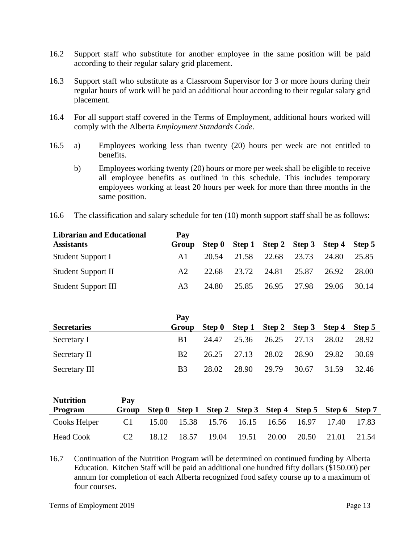- 16.2 Support staff who substitute for another employee in the same position will be paid according to their regular salary grid placement.
- 16.3 Support staff who substitute as a Classroom Supervisor for 3 or more hours during their regular hours of work will be paid an additional hour according to their regular salary grid placement.
- 16.4 For all support staff covered in the Terms of Employment, additional hours worked will comply with the Alberta *Employment Standards Code*.
- 16.5 a) Employees working less than twenty (20) hours per week are not entitled to benefits.
	- b) Employees working twenty (20) hours or more per week shall be eligible to receive all employee benefits as outlined in this schedule. This includes temporary employees working at least 20 hours per week for more than three months in the same position.
- 16.6 The classification and salary schedule for ten (10) month support staff shall be as follows:

| <b>Librarian and Educational</b> | Pay            |        |       |                                    |       |       |       |
|----------------------------------|----------------|--------|-------|------------------------------------|-------|-------|-------|
| <b>Assistants</b>                | Group          | Step 0 |       | Step 1 Step 2 Step 3 Step 4 Step 5 |       |       |       |
| Student Support I                | A1             | 20.54  | 21.58 | 22.68                              | 23.73 | 24.80 | 25.85 |
| <b>Student Support II</b>        | A2             | 22.68  |       | 23.72 24.81 25.87                  |       | 26.92 | 28.00 |
| <b>Student Support III</b>       | A <sub>3</sub> | 24.80  | 25.85 | 26.95                              | 27.98 | 29.06 | 30.14 |

|                    | Pay            |       |                   |                                           |       |       |       |
|--------------------|----------------|-------|-------------------|-------------------------------------------|-------|-------|-------|
| <b>Secretaries</b> | Group          |       |                   | Step 0 Step 1 Step 2 Step 3 Step 4 Step 5 |       |       |       |
| Secretary I        | B1             | 24.47 |                   | 25.36 26.25                               | 27.13 | 28.02 | 28.92 |
| Secretary II       | B2             |       | 26.25 27.13 28.02 |                                           | 28.90 | 29.82 | 30.69 |
| Secretary III      | B <sub>3</sub> | 28.02 | 28.90             | 29.79                                     | 30.67 | 31.59 | 32.46 |

| <b>Nutrition</b> | Pay            |       |                               |       |       |       |       |                                                         |       |
|------------------|----------------|-------|-------------------------------|-------|-------|-------|-------|---------------------------------------------------------|-------|
| <b>Program</b>   | Group          |       |                               |       |       |       |       | Step 0 Step 1 Step 2 Step 3 Step 4 Step 5 Step 6 Step 7 |       |
| Cooks Helper     | C1             |       | 15.00 15.38 15.76 16.15 16.56 |       |       |       | 16.97 | 17.40                                                   | 17.83 |
| Head Cook        | C <sub>2</sub> | 18.12 | 18.57                         | 19.04 | 19.51 | 20.00 | 20.50 | 21.01                                                   | 21.54 |

16.7 Continuation of the Nutrition Program will be determined on continued funding by Alberta Education. Kitchen Staff will be paid an additional one hundred fifty dollars (\$150.00) per annum for completion of each Alberta recognized food safety course up to a maximum of four courses.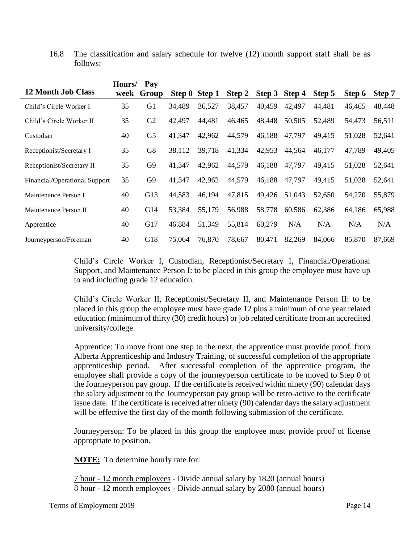16.8 The classification and salary schedule for twelve (12) month support staff shall be as follows:

|                               | Hours/ | Pay            |        |               |        |        |        |        |        |        |
|-------------------------------|--------|----------------|--------|---------------|--------|--------|--------|--------|--------|--------|
| <b>12 Month Job Class</b>     | week   | Group          |        | Step 0 Step 1 | Step 2 | Step 3 | Step 4 | Step 5 | Step 6 | Step 7 |
| Child's Circle Worker I       | 35     | G1             | 34,489 | 36,527        | 38,457 | 40,459 | 42,497 | 44,481 | 46.465 | 48,448 |
| Child's Circle Worker II      | 35     | G2             | 42,497 | 44,481        | 46,465 | 48,448 | 50,505 | 52,489 | 54,473 | 56,511 |
| Custodian                     | 40     | G <sub>5</sub> | 41,347 | 42,962        | 44,579 | 46,188 | 47,797 | 49,415 | 51,028 | 52,641 |
| Receptionist/Secretary I      | 35     | G8             | 38,112 | 39,718        | 41,334 | 42,953 | 44,564 | 46,177 | 47,789 | 49,405 |
| Receptionist/Secretary II     | 35     | G <sub>9</sub> | 41,347 | 42,962        | 44,579 | 46,188 | 47,797 | 49,415 | 51,028 | 52,641 |
| Financial/Operational Support | 35     | G <sub>9</sub> | 41,347 | 42,962        | 44,579 | 46,188 | 47,797 | 49,415 | 51,028 | 52,641 |
| Maintenance Person I          | 40     | G13            | 44,583 | 46,194        | 47,815 | 49,426 | 51,043 | 52,650 | 54,270 | 55,879 |
| Maintenance Person II         | 40     | G14            | 53,384 | 55,179        | 56,988 | 58,778 | 60,586 | 62,386 | 64,186 | 65,988 |
| Apprentice                    | 40     | G17            | 46.884 | 51,349        | 55,814 | 60,279 | N/A    | N/A    | N/A    | N/A    |
| Journeyperson/Foreman         | 40     | G18            | 75,064 | 76,870        | 78,667 | 80,471 | 82,269 | 84,066 | 85,870 | 87,669 |

Child's Circle Worker I, Custodian, Receptionist/Secretary I, Financial/Operational Support, and Maintenance Person I: to be placed in this group the employee must have up to and including grade 12 education.

Child's Circle Worker II, Receptionist/Secretary II, and Maintenance Person II: to be placed in this group the employee must have grade 12 plus a minimum of one year related education (minimum of thirty (30) credit hours) or job related certificate from an accredited university/college.

Apprentice: To move from one step to the next, the apprentice must provide proof, from Alberta Apprenticeship and Industry Training, of successful completion of the appropriate apprenticeship period. After successful completion of the apprentice program, the employee shall provide a copy of the journeyperson certificate to be moved to Step 0 of the Journeyperson pay group. If the certificate is received within ninety (90) calendar days the salary adjustment to the Journeyperson pay group will be retro-active to the certificate issue date. If the certificate is received after ninety (90) calendar days the salary adjustment will be effective the first day of the month following submission of the certificate.

Journeyperson: To be placed in this group the employee must provide proof of license appropriate to position.

**NOTE:** To determine hourly rate for:

7 hour - 12 month employees - Divide annual salary by 1820 (annual hours) 8 hour - 12 month employees - Divide annual salary by 2080 (annual hours)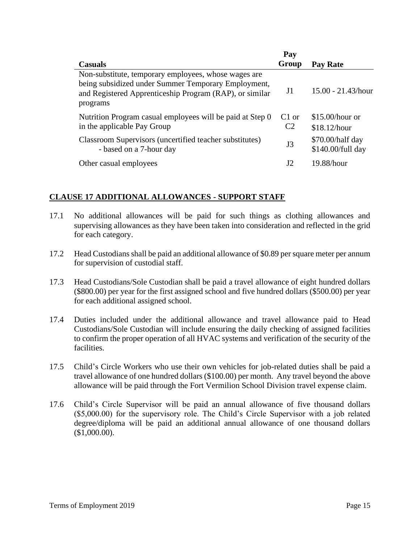|                                                                                                                                                                                    | Pay                                 |                                       |
|------------------------------------------------------------------------------------------------------------------------------------------------------------------------------------|-------------------------------------|---------------------------------------|
| <b>Casuals</b>                                                                                                                                                                     | Group                               | Pay Rate                              |
| Non-substitute, temporary employees, whose wages are<br>being subsidized under Summer Temporary Employment,<br>and Registered Apprenticeship Program (RAP), or similar<br>programs | J1                                  | $15.00 - 21.43/hour$                  |
| Nutrition Program casual employees will be paid at Step 0<br>in the applicable Pay Group                                                                                           | C <sub>1</sub> or<br>C <sub>2</sub> | $$15.00/h$ our or<br>\$18.12/hour     |
| Classroom Supervisors (uncertified teacher substitutes)<br>- based on a 7-hour day                                                                                                 | J3                                  | \$70.00/half day<br>\$140.00/full day |
| Other casual employees                                                                                                                                                             | J2                                  | 19.88/hour                            |

# **CLAUSE 17 ADDITIONAL ALLOWANCES - SUPPORT STAFF**

- 17.1 No additional allowances will be paid for such things as clothing allowances and supervising allowances as they have been taken into consideration and reflected in the grid for each category.
- 17.2 Head Custodians shall be paid an additional allowance of \$0.89 per square meter per annum for supervision of custodial staff.
- 17.3 Head Custodians/Sole Custodian shall be paid a travel allowance of eight hundred dollars (\$800.00) per year for the first assigned school and five hundred dollars (\$500.00) per year for each additional assigned school.
- 17.4 Duties included under the additional allowance and travel allowance paid to Head Custodians/Sole Custodian will include ensuring the daily checking of assigned facilities to confirm the proper operation of all HVAC systems and verification of the security of the facilities.
- 17.5 Child's Circle Workers who use their own vehicles for job-related duties shall be paid a travel allowance of one hundred dollars (\$100.00) per month. Any travel beyond the above allowance will be paid through the Fort Vermilion School Division travel expense claim.
- 17.6 Child's Circle Supervisor will be paid an annual allowance of five thousand dollars (\$5,000.00) for the supervisory role. The Child's Circle Supervisor with a job related degree/diploma will be paid an additional annual allowance of one thousand dollars (\$1,000.00).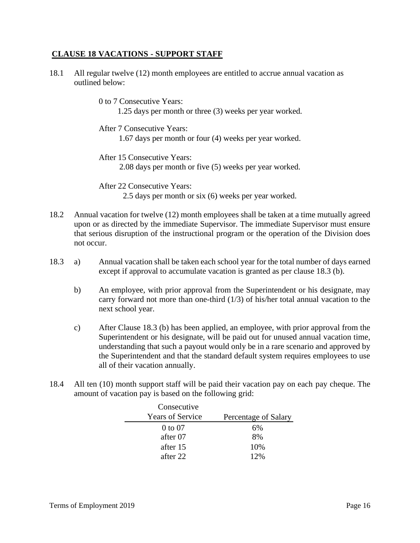#### **CLAUSE 18 VACATIONS - SUPPORT STAFF**

- 18.1 All regular twelve (12) month employees are entitled to accrue annual vacation as outlined below:
	- 0 to 7 Consecutive Years: 1.25 days per month or three (3) weeks per year worked.
	- After 7 Consecutive Years: 1.67 days per month or four (4) weeks per year worked.
	- After 15 Consecutive Years: 2.08 days per month or five (5) weeks per year worked.

After 22 Consecutive Years: 2.5 days per month or six (6) weeks per year worked.

- 18.2 Annual vacation for twelve (12) month employees shall be taken at a time mutually agreed upon or as directed by the immediate Supervisor. The immediate Supervisor must ensure that serious disruption of the instructional program or the operation of the Division does not occur.
- 18.3 a) Annual vacation shall be taken each school year for the total number of days earned except if approval to accumulate vacation is granted as per clause 18.3 (b).
	- b) An employee, with prior approval from the Superintendent or his designate, may carry forward not more than one-third (1/3) of his/her total annual vacation to the next school year.
	- c) After Clause 18.3 (b) has been applied, an employee, with prior approval from the Superintendent or his designate, will be paid out for unused annual vacation time, understanding that such a payout would only be in a rare scenario and approved by the Superintendent and that the standard default system requires employees to use all of their vacation annually.
- 18.4 All ten (10) month support staff will be paid their vacation pay on each pay cheque. The amount of vacation pay is based on the following grid:

| Consecutive             |                      |
|-------------------------|----------------------|
| <b>Years of Service</b> | Percentage of Salary |
| $0 \text{ to } 07$      | 6%                   |
| after 07                | 8%                   |
| after 15                | 10%                  |
| after 22                | 12%                  |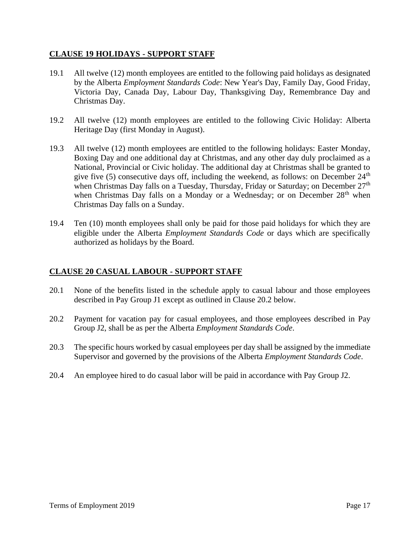#### **CLAUSE 19 HOLIDAYS - SUPPORT STAFF**

- 19.1 All twelve (12) month employees are entitled to the following paid holidays as designated by the Alberta *Employment Standards Code*: New Year's Day, Family Day, Good Friday, Victoria Day, Canada Day, Labour Day, Thanksgiving Day, Remembrance Day and Christmas Day.
- 19.2 All twelve (12) month employees are entitled to the following Civic Holiday: Alberta Heritage Day (first Monday in August).
- 19.3 All twelve (12) month employees are entitled to the following holidays: Easter Monday, Boxing Day and one additional day at Christmas, and any other day duly proclaimed as a National, Provincial or Civic holiday. The additional day at Christmas shall be granted to give five (5) consecutive days off, including the weekend, as follows: on December  $24<sup>th</sup>$ when Christmas Day falls on a Tuesday, Thursday, Friday or Saturday; on December 27<sup>th</sup> when Christmas Day falls on a Monday or a Wednesday; or on December  $28<sup>th</sup>$  when Christmas Day falls on a Sunday.
- 19.4 Ten (10) month employees shall only be paid for those paid holidays for which they are eligible under the Alberta *Employment Standards Code* or days which are specifically authorized as holidays by the Board.

#### **CLAUSE 20 CASUAL LABOUR - SUPPORT STAFF**

- 20.1 None of the benefits listed in the schedule apply to casual labour and those employees described in Pay Group J1 except as outlined in Clause 20.2 below.
- 20.2 Payment for vacation pay for casual employees, and those employees described in Pay Group J2, shall be as per the Alberta *Employment Standards Code*.
- 20.3 The specific hours worked by casual employees per day shall be assigned by the immediate Supervisor and governed by the provisions of the Alberta *Employment Standards Code*.
- 20.4 An employee hired to do casual labor will be paid in accordance with Pay Group J2.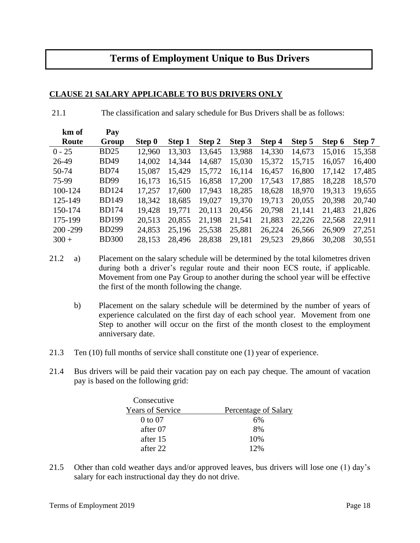# **Terms of Employment Unique to Bus Drivers**

#### **CLAUSE 21 SALARY APPLICABLE TO BUS DRIVERS ONLY**

21.1 The classification and salary schedule for Bus Drivers shall be as follows:

| km of       | Pay          |        |        |        |        |        |        |        |        |
|-------------|--------------|--------|--------|--------|--------|--------|--------|--------|--------|
| Route       | Group        | Step 0 | Step 1 | Step 2 | Step 3 | Step 4 | Step 5 | Step 6 | Step 7 |
| $0 - 25$    | <b>BD25</b>  | 12,960 | 13,303 | 13,645 | 13,988 | 14,330 | 14,673 | 15,016 | 15,358 |
| 26-49       | <b>BD49</b>  | 14,002 | 14.344 | 14,687 | 15,030 | 15,372 | 15,715 | 16,057 | 16,400 |
| 50-74       | <b>BD74</b>  | 15,087 | 15,429 | 15,772 | 16,114 | 16,457 | 16,800 | 17,142 | 17,485 |
| 75-99       | <b>BD99</b>  | 16.173 | 16,515 | 16,858 | 17,200 | 17,543 | 17,885 | 18,228 | 18,570 |
| 100-124     | <b>BD124</b> | 17.257 | 17.600 | 17,943 | 18,285 | 18,628 | 18,970 | 19,313 | 19,655 |
| 125-149     | <b>BD149</b> | 18,342 | 18,685 | 19,027 | 19,370 | 19,713 | 20,055 | 20,398 | 20,740 |
| 150-174     | <b>BD174</b> | 19,428 | 19.771 | 20,113 | 20,456 | 20,798 | 21,141 | 21,483 | 21,826 |
| 175-199     | <b>BD199</b> | 20,513 | 20,855 | 21,198 | 21,541 | 21,883 | 22,226 | 22,568 | 22,911 |
| $200 - 299$ | <b>BD299</b> | 24,853 | 25,196 | 25,538 | 25,881 | 26,224 | 26,566 | 26,909 | 27,251 |
| $300 +$     | <b>BD300</b> | 28,153 | 28,496 | 28,838 | 29,181 | 29,523 | 29,866 | 30,208 | 30,551 |

- 21.2 a) Placement on the salary schedule will be determined by the total kilometres driven during both a driver's regular route and their noon ECS route, if applicable. Movement from one Pay Group to another during the school year will be effective the first of the month following the change.
	- b) Placement on the salary schedule will be determined by the number of years of experience calculated on the first day of each school year. Movement from one Step to another will occur on the first of the month closest to the employment anniversary date.
- 21.3 Ten (10) full months of service shall constitute one (1) year of experience.
- 21.4 Bus drivers will be paid their vacation pay on each pay cheque. The amount of vacation pay is based on the following grid:

| Consecutive             |                      |
|-------------------------|----------------------|
| <b>Years of Service</b> | Percentage of Salary |
| $0$ to $07$             | 6%                   |
| after 07                | 8%                   |
| after 15                | 10%                  |
| after 22                | 12%                  |

21.5 Other than cold weather days and/or approved leaves, bus drivers will lose one (1) day's salary for each instructional day they do not drive.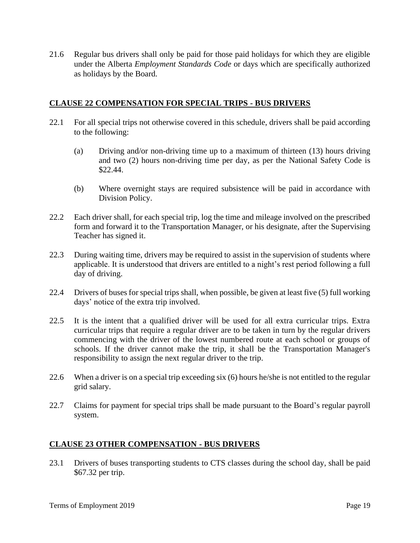21.6 Regular bus drivers shall only be paid for those paid holidays for which they are eligible under the Alberta *Employment Standards Code* or days which are specifically authorized as holidays by the Board.

#### **CLAUSE 22 COMPENSATION FOR SPECIAL TRIPS - BUS DRIVERS**

- 22.1 For all special trips not otherwise covered in this schedule, drivers shall be paid according to the following:
	- (a) Driving and/or non-driving time up to a maximum of thirteen (13) hours driving and two (2) hours non-driving time per day, as per the National Safety Code is \$22.44.
	- (b) Where overnight stays are required subsistence will be paid in accordance with Division Policy.
- 22.2 Each driver shall, for each special trip, log the time and mileage involved on the prescribed form and forward it to the Transportation Manager, or his designate, after the Supervising Teacher has signed it.
- 22.3 During waiting time, drivers may be required to assist in the supervision of students where applicable. It is understood that drivers are entitled to a night's rest period following a full day of driving.
- 22.4 Drivers of buses for special trips shall, when possible, be given at least five (5) full working days' notice of the extra trip involved.
- 22.5 It is the intent that a qualified driver will be used for all extra curricular trips. Extra curricular trips that require a regular driver are to be taken in turn by the regular drivers commencing with the driver of the lowest numbered route at each school or groups of schools. If the driver cannot make the trip, it shall be the Transportation Manager's responsibility to assign the next regular driver to the trip.
- 22.6 When a driver is on a special trip exceeding six (6) hours he/she is not entitled to the regular grid salary.
- 22.7 Claims for payment for special trips shall be made pursuant to the Board's regular payroll system.

#### **CLAUSE 23 OTHER COMPENSATION - BUS DRIVERS**

23.1 Drivers of buses transporting students to CTS classes during the school day, shall be paid \$67.32 per trip.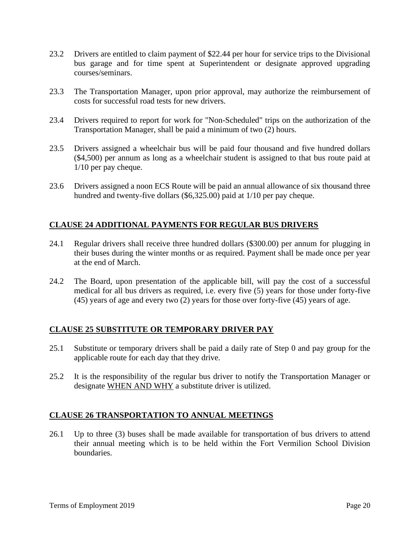- 23.2 Drivers are entitled to claim payment of \$22.44 per hour for service trips to the Divisional bus garage and for time spent at Superintendent or designate approved upgrading courses/seminars.
- 23.3 The Transportation Manager, upon prior approval, may authorize the reimbursement of costs for successful road tests for new drivers.
- 23.4 Drivers required to report for work for "Non-Scheduled" trips on the authorization of the Transportation Manager, shall be paid a minimum of two (2) hours.
- 23.5 Drivers assigned a wheelchair bus will be paid four thousand and five hundred dollars (\$4,500) per annum as long as a wheelchair student is assigned to that bus route paid at 1/10 per pay cheque.
- 23.6 Drivers assigned a noon ECS Route will be paid an annual allowance of six thousand three hundred and twenty-five dollars (\$6,325.00) paid at 1/10 per pay cheque.

## **CLAUSE 24 ADDITIONAL PAYMENTS FOR REGULAR BUS DRIVERS**

- 24.1 Regular drivers shall receive three hundred dollars (\$300.00) per annum for plugging in their buses during the winter months or as required. Payment shall be made once per year at the end of March.
- 24.2 The Board, upon presentation of the applicable bill, will pay the cost of a successful medical for all bus drivers as required, i.e. every five (5) years for those under forty-five (45) years of age and every two (2) years for those over forty-five (45) years of age.

## **CLAUSE 25 SUBSTITUTE OR TEMPORARY DRIVER PAY**

- 25.1 Substitute or temporary drivers shall be paid a daily rate of Step 0 and pay group for the applicable route for each day that they drive.
- 25.2 It is the responsibility of the regular bus driver to notify the Transportation Manager or designate WHEN AND WHY a substitute driver is utilized.

## **CLAUSE 26 TRANSPORTATION TO ANNUAL MEETINGS**

26.1 Up to three (3) buses shall be made available for transportation of bus drivers to attend their annual meeting which is to be held within the Fort Vermilion School Division boundaries.